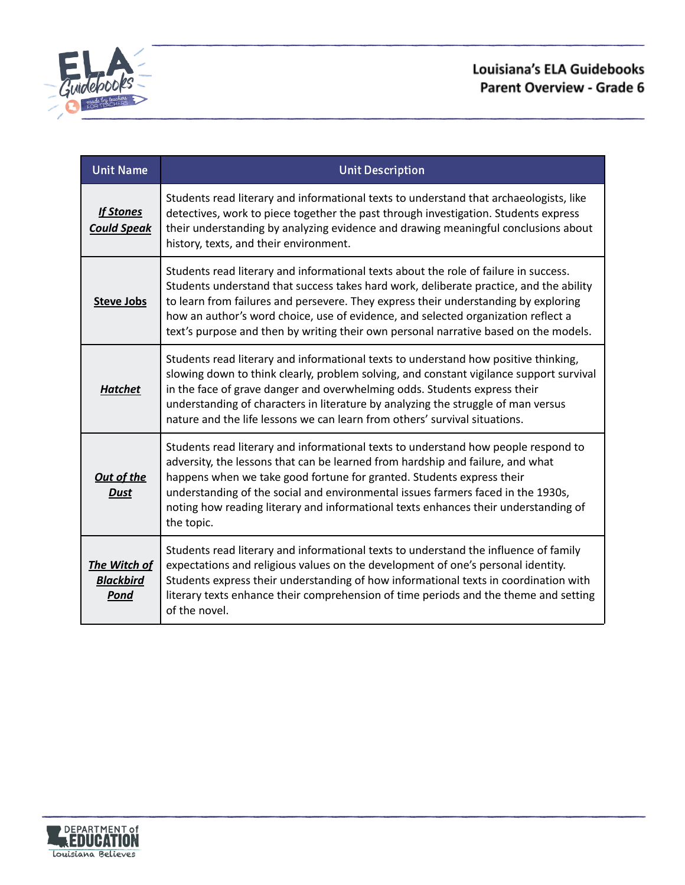

| <b>Unit Name</b>                                | <b>Unit Description</b>                                                                                                                                                                                                                                                                                                                                                                                                                            |
|-------------------------------------------------|----------------------------------------------------------------------------------------------------------------------------------------------------------------------------------------------------------------------------------------------------------------------------------------------------------------------------------------------------------------------------------------------------------------------------------------------------|
| <b>If Stones</b><br><b>Could Speak</b>          | Students read literary and informational texts to understand that archaeologists, like<br>detectives, work to piece together the past through investigation. Students express<br>their understanding by analyzing evidence and drawing meaningful conclusions about<br>history, texts, and their environment.                                                                                                                                      |
| <b>Steve Jobs</b>                               | Students read literary and informational texts about the role of failure in success.<br>Students understand that success takes hard work, deliberate practice, and the ability<br>to learn from failures and persevere. They express their understanding by exploring<br>how an author's word choice, use of evidence, and selected organization reflect a<br>text's purpose and then by writing their own personal narrative based on the models. |
| <b>Hatchet</b>                                  | Students read literary and informational texts to understand how positive thinking,<br>slowing down to think clearly, problem solving, and constant vigilance support survival<br>in the face of grave danger and overwhelming odds. Students express their<br>understanding of characters in literature by analyzing the struggle of man versus<br>nature and the life lessons we can learn from others' survival situations.                     |
| Out of the<br><b>Dust</b>                       | Students read literary and informational texts to understand how people respond to<br>adversity, the lessons that can be learned from hardship and failure, and what<br>happens when we take good fortune for granted. Students express their<br>understanding of the social and environmental issues farmers faced in the 1930s,<br>noting how reading literary and informational texts enhances their understanding of<br>the topic.             |
| <b>The Witch of</b><br><b>Blackbird</b><br>Pond | Students read literary and informational texts to understand the influence of family<br>expectations and religious values on the development of one's personal identity.<br>Students express their understanding of how informational texts in coordination with<br>literary texts enhance their comprehension of time periods and the theme and setting<br>of the novel.                                                                          |

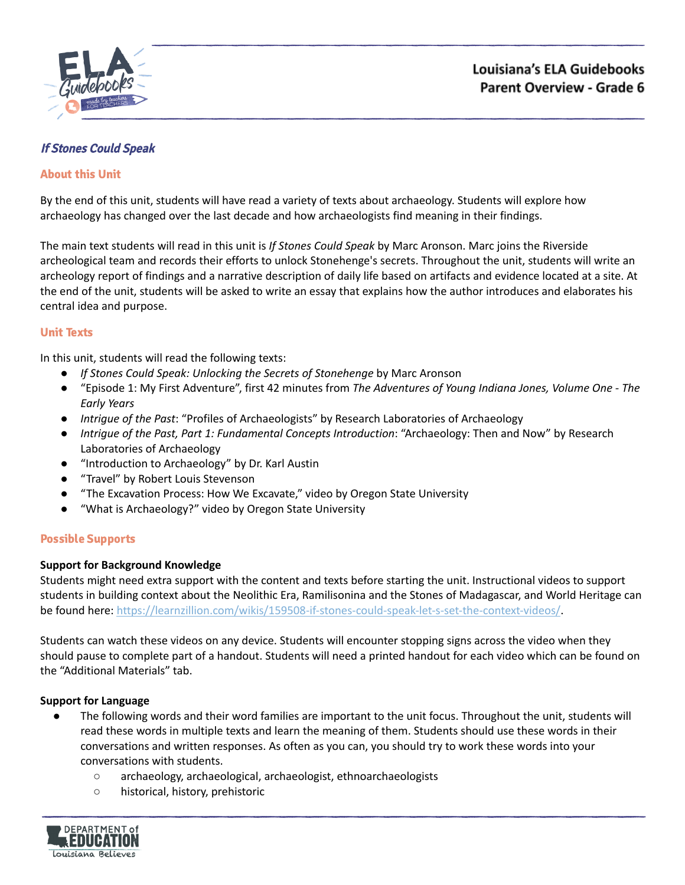

# <span id="page-1-0"></span>If Stones Could Speak

## About this Unit

By the end of this unit, students will have read a variety of texts about archaeology. Students will explore how archaeology has changed over the last decade and how archaeologists find meaning in their findings.

The main text students will read in this unit is *If Stones Could Speak* by Marc Aronson. Marc joins the Riverside archeological team and records their efforts to unlock Stonehenge's secrets. Throughout the unit, students will write an archeology report of findings and a narrative description of daily life based on artifacts and evidence located at a site. At the end of the unit, students will be asked to write an essay that explains how the author introduces and elaborates his central idea and purpose.

### Unit Texts

In this unit, students will read the following texts:

- *If Stones Could Speak: Unlocking the Secrets of Stonehenge* by Marc Aronson
- "Episode 1: My First Adventure", first 42 minutes from *The Adventures of Young Indiana Jones, Volume One - The Early Years*
- *Intrigue of the Past*: "Profiles of Archaeologists" by Research Laboratories of Archaeology
- *Intrigue of the Past, Part 1: Fundamental Concepts Introduction*: "Archaeology: Then and Now" by Research Laboratories of Archaeology
- "Introduction to Archaeology" by Dr. Karl Austin
- "Travel" by Robert Louis Stevenson
- "The Excavation Process: How We Excavate," video by Oregon State University
- "What is Archaeology?" video by Oregon State University

#### Possible Supports

#### **Support for Background Knowledge**

Students might need extra support with the content and texts before starting the unit. Instructional videos to support students in building context about the Neolithic Era, Ramilisonina and the Stones of Madagascar, and World Heritage can be found here: <https://learnzillion.com/wikis/159508-if-stones-could-speak-let-s-set-the-context-videos/>.

Students can watch these videos on any device. Students will encounter stopping signs across the video when they should pause to complete part of a handout. Students will need a printed handout for each video which can be found on the "Additional Materials" tab.

#### **Support for Language**

- The following words and their word families are important to the unit focus. Throughout the unit, students will read these words in multiple texts and learn the meaning of them. Students should use these words in their conversations and written responses. As often as you can, you should try to work these words into your conversations with students.
	- archaeology, archaeological, archaeologist, ethnoarchaeologists
	- historical, history, prehistoric

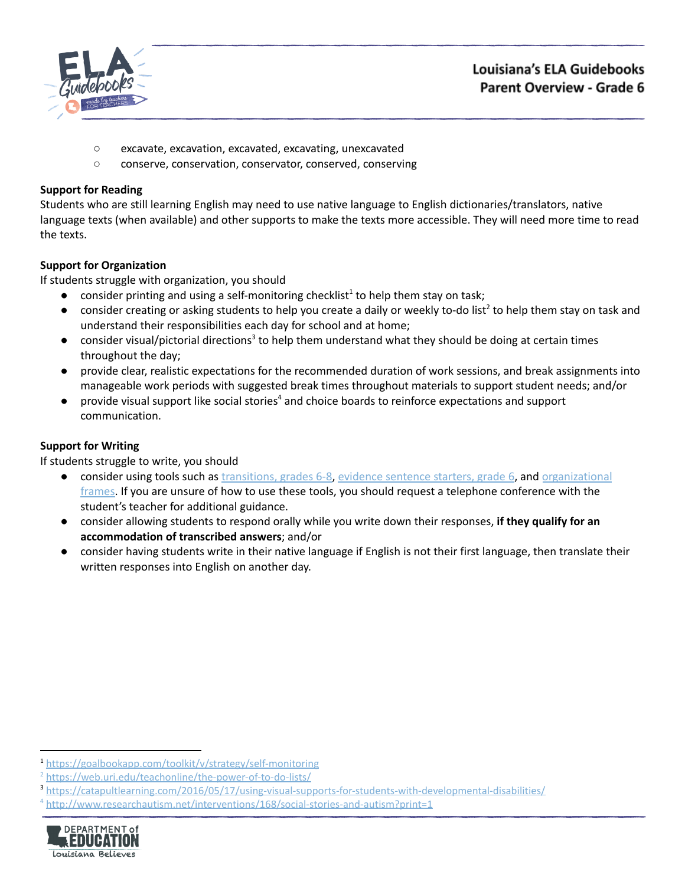

- excavate, excavation, excavated, excavating, unexcavated
- conserve, conservation, conservator, conserved, conserving

## **Support for Reading**

Students who are still learning English may need to use native language to English dictionaries/translators, native language texts (when available) and other supports to make the texts more accessible. They will need more time to read the texts.

## **Support for Organization**

If students struggle with organization, you should

- $\bullet$  consider printing and using a self-monitoring checklist<sup>1</sup> to help them stay on task;
- $\bullet$  consider creating or asking students to help you create a daily or weekly to-do list<sup>2</sup> to help them stay on task and understand their responsibilities each day for school and at home;
- consider visual/pictorial directions<sup>3</sup> to help them understand what they should be doing at certain times throughout the day;
- provide clear, realistic expectations for the recommended duration of work sessions, and break assignments into manageable work periods with suggested break times throughout materials to support student needs; and/or
- $\bullet$  provide visual support like social stories<sup>4</sup> and choice boards to reinforce expectations and support communication.

# **Support for Writing**

- consider using tools such as [transitions,](https://learnzillion.com/resources/157893/) grades 6-8, evidence [sentence](https://learnzillion.com/resources/157866/) starters, grade 6, and [organizational](https://learnzillion.com/resources/116858/) [frames.](https://learnzillion.com/resources/116858/) If you are unsure of how to use these tools, you should request a telephone conference with the student's teacher for additional guidance.
- consider allowing students to respond orally while you write down their responses, **if they qualify for an accommodation of transcribed answers**; and/or
- **●** consider having students write in their native language if English is not their first language, then translate their written responses into English on another day.

<sup>4</sup> <http://www.researchautism.net/interventions/168/social-stories-and-autism?print=1>



<sup>1</sup> <https://goalbookapp.com/toolkit/v/strategy/self-monitoring>

<sup>&</sup>lt;sup>2</sup> <https://web.uri.edu/teachonline/the-power-of-to-do-lists/>

<sup>3</sup> <https://catapultlearning.com/2016/05/17/using-visual-supports-for-students-with-developmental-disabilities/>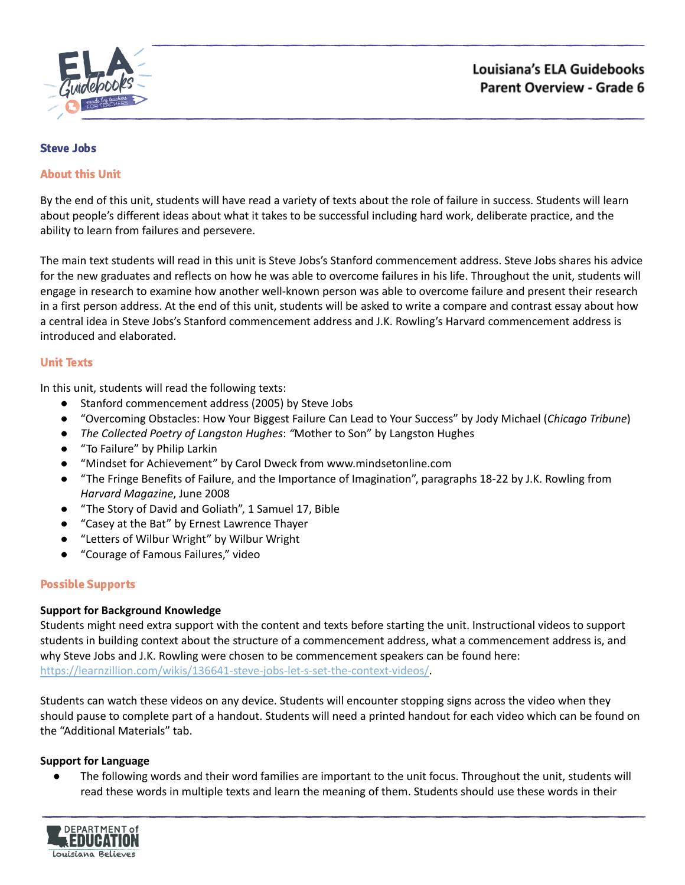

#### <span id="page-3-0"></span>Steve Jobs

#### About this Unit

By the end of this unit, students will have read a variety of texts about the role of failure in success. Students will learn about people's different ideas about what it takes to be successful including hard work, deliberate practice, and the ability to learn from failures and persevere.

The main text students will read in this unit is Steve Jobs's Stanford commencement address. Steve Jobs shares his advice for the new graduates and reflects on how he was able to overcome failures in his life. Throughout the unit, students will engage in research to examine how another well-known person was able to overcome failure and present their research in a first person address. At the end of this unit, students will be asked to write a compare and contrast essay about how a central idea in Steve Jobs's Stanford commencement address and J.K. Rowling's Harvard commencement address is introduced and elaborated.

#### Unit Texts

In this unit, students will read the following texts:

- Stanford commencement address (2005) by Steve Jobs
- "Overcoming Obstacles: How Your Biggest Failure Can Lead to Your Success" by Jody Michael (*Chicago Tribune*)
- *The Collected Poetry of Langston Hughes*: *"*Mother to Son" by Langston Hughes
- "To Failure" by Philip Larkin
- "Mindset for Achievement" by Carol Dweck from www.mindsetonline.com
- "The Fringe Benefits of Failure, and the Importance of Imagination", paragraphs 18-22 by J.K. Rowling from *Harvard Magazine*, June 2008
- "The Story of David and Goliath", 1 Samuel 17, Bible
- "Casey at the Bat" by Ernest Lawrence Thayer
- "Letters of Wilbur Wright" by Wilbur Wright
- "Courage of Famous Failures," video

## Possible Supports

#### **Support for Background Knowledge**

Students might need extra support with the content and texts before starting the unit. Instructional videos to support students in building context about the structure of a commencement address, what a commencement address is, and why Steve Jobs and J.K. Rowling were chosen to be commencement speakers can be found here: [https://learnzillion.com/wikis/136641-steve-jobs-let-s-set-the-context-videos/.](https://learnzillion.com/wikis/136641-steve-jobs-let-s-set-the-context-videos/)

Students can watch these videos on any device. Students will encounter stopping signs across the video when they should pause to complete part of a handout. Students will need a printed handout for each video which can be found on the "Additional Materials" tab.

#### **Support for Language**

The following words and their word families are important to the unit focus. Throughout the unit, students will read these words in multiple texts and learn the meaning of them. Students should use these words in their

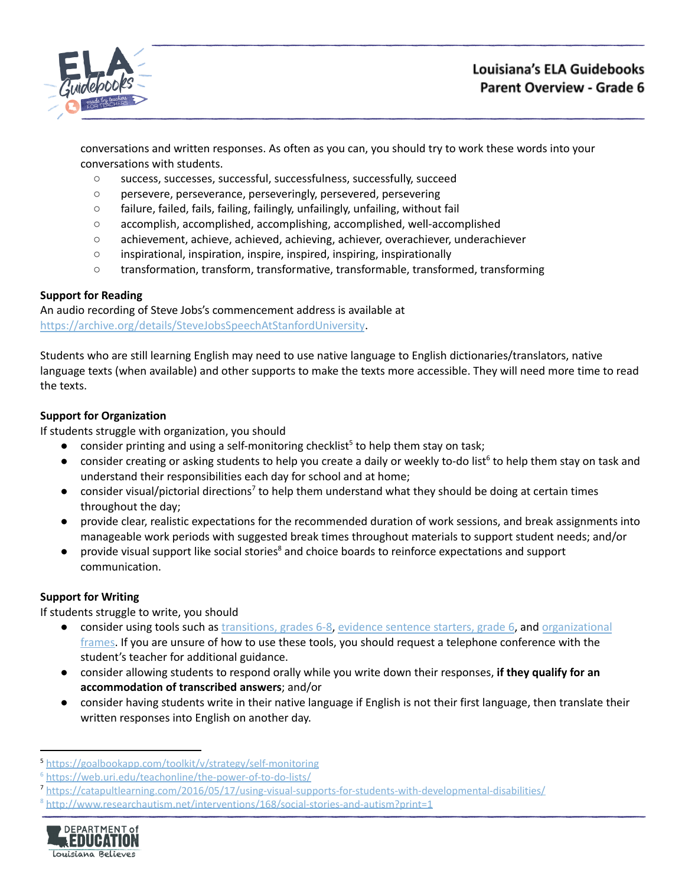

conversations and written responses. As often as you can, you should try to work these words into your conversations with students.

- success, successes, successful, successfulness, successfully, succeed
- persevere, perseverance, perseveringly, persevered, persevering
- failure, failed, fails, failing, failingly, unfailingly, unfailing, without fail
- accomplish, accomplished, accomplishing, accomplished, well-accomplished
- achievement, achieve, achieved, achieving, achiever, overachiever, underachiever
- inspirational, inspiration, inspire, inspired, inspiring, inspirationally
- transformation, transform, transformative, transformable, transformed, transforming

# **Support for Reading**

An audio recording of Steve Jobs's commencement address is available at <https://archive.org/details/SteveJobsSpeechAtStanfordUniversity>.

Students who are still learning English may need to use native language to English dictionaries/translators, native language texts (when available) and other supports to make the texts more accessible. They will need more time to read the texts.

# **Support for Organization**

If students struggle with organization, you should

- consider printing and using a self-monitoring checklist<sup>5</sup> to help them stay on task;
- consider creating or asking students to help you create a daily or weekly to-do list<sup>6</sup> to help them stay on task and understand their responsibilities each day for school and at home;
- $\bullet$  consider visual/pictorial directions<sup>7</sup> to help them understand what they should be doing at certain times throughout the day;
- provide clear, realistic expectations for the recommended duration of work sessions, and break assignments into manageable work periods with suggested break times throughout materials to support student needs; and/or
- provide visual support like social stories<sup>8</sup> and choice boards to reinforce expectations and support communication.

# **Support for Writing**

- consider using tools such as [transitions,](https://learnzillion.com/resources/157893/) grades 6-8, evidence [sentence](https://learnzillion.com/resources/157866/) starters, grade 6, and [organizational](https://learnzillion.com/resources/116858/) [frames.](https://learnzillion.com/resources/116858/) If you are unsure of how to use these tools, you should request a telephone conference with the student's teacher for additional guidance.
- consider allowing students to respond orally while you write down their responses, **if they qualify for an accommodation of transcribed answers**; and/or
- **●** consider having students write in their native language if English is not their first language, then translate their written responses into English on another day.

<sup>8</sup> <http://www.researchautism.net/interventions/168/social-stories-and-autism?print=1>



<sup>5</sup> <https://goalbookapp.com/toolkit/v/strategy/self-monitoring>

<sup>6</sup> <https://web.uri.edu/teachonline/the-power-of-to-do-lists/>

<sup>7</sup> <https://catapultlearning.com/2016/05/17/using-visual-supports-for-students-with-developmental-disabilities/>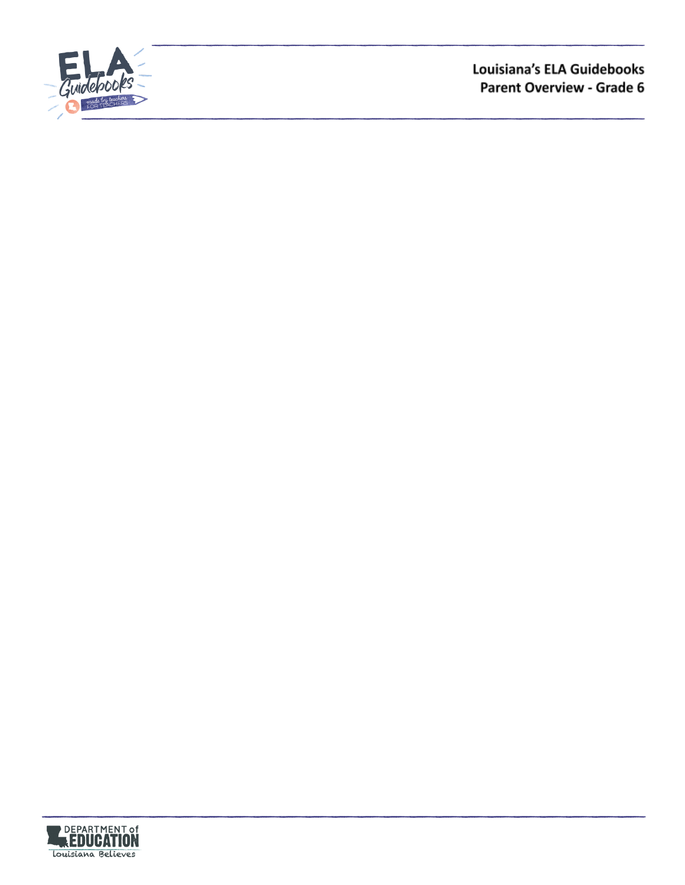

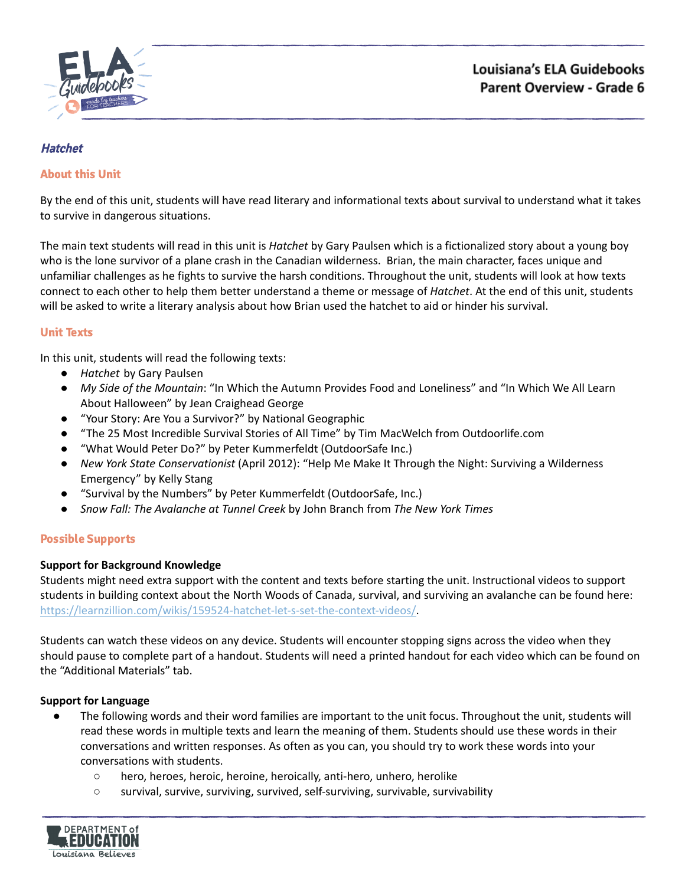

## <span id="page-6-0"></span>**Hatchet**

### About this Unit

By the end of this unit, students will have read literary and informational texts about survival to understand what it takes to survive in dangerous situations.

The main text students will read in this unit is *Hatchet* by Gary Paulsen which is a fictionalized story about a young boy who is the lone survivor of a plane crash in the Canadian wilderness. Brian, the main character, faces unique and unfamiliar challenges as he fights to survive the harsh conditions. Throughout the unit, students will look at how texts connect to each other to help them better understand a theme or message of *Hatchet*. At the end of this unit, students will be asked to write a literary analysis about how Brian used the hatchet to aid or hinder his survival.

### Unit Texts

In this unit, students will read the following texts:

- *Hatchet* by Gary Paulsen
- *My Side of the Mountain*: "In Which the Autumn Provides Food and Loneliness" and "In Which We All Learn About Halloween" by Jean Craighead George
- "Your Story: Are You a Survivor?" by National Geographic
- "The 25 Most Incredible Survival Stories of All Time" by Tim MacWelch from Outdoorlife.com
- "What Would Peter Do?" by Peter Kummerfeldt (OutdoorSafe Inc.)
- *New York State Conservationist* (April 2012): "Help Me Make It Through the Night: Surviving a Wilderness Emergency" by Kelly Stang
- "Survival by the Numbers" by Peter Kummerfeldt (OutdoorSafe, Inc.)
- *Snow Fall: The Avalanche at Tunnel Creek* by John Branch from *The New York Times*

#### Possible Supports

#### **Support for Background Knowledge**

Students might need extra support with the content and texts before starting the unit. Instructional videos to support students in building context about the North Woods of Canada, survival, and surviving an avalanche can be found here: <https://learnzillion.com/wikis/159524-hatchet-let-s-set-the-context-videos/>.

Students can watch these videos on any device. Students will encounter stopping signs across the video when they should pause to complete part of a handout. Students will need a printed handout for each video which can be found on the "Additional Materials" tab.

#### **Support for Language**

- The following words and their word families are important to the unit focus. Throughout the unit, students will read these words in multiple texts and learn the meaning of them. Students should use these words in their conversations and written responses. As often as you can, you should try to work these words into your conversations with students.
	- hero, heroes, heroic, heroine, heroically, anti-hero, unhero, herolike
	- survival, survive, surviving, survived, self-surviving, survivable, survivability

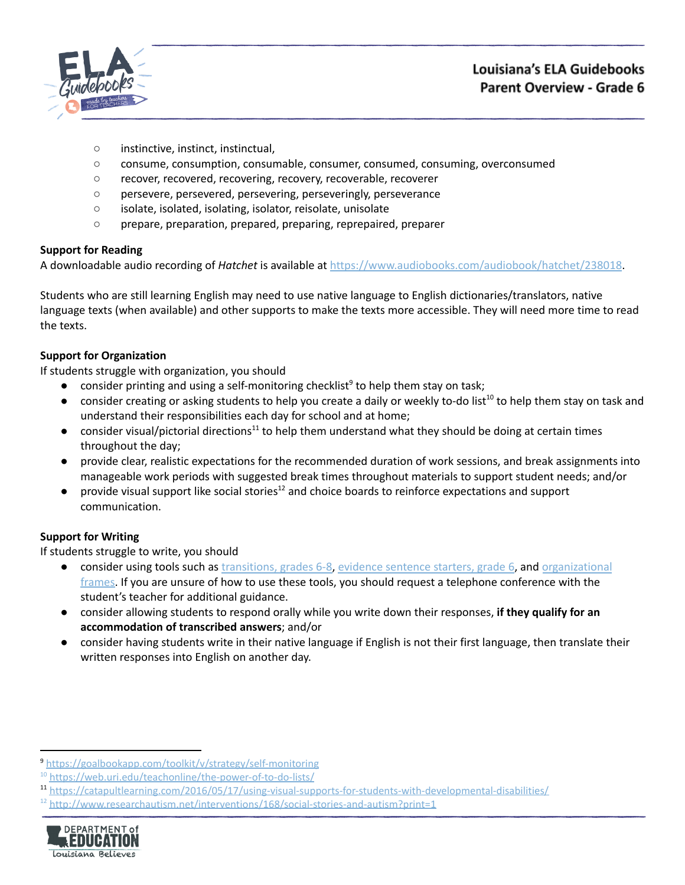

- instinctive, instinct, instinctual,
- consume, consumption, consumable, consumer, consumed, consuming, overconsumed
- recover, recovered, recovering, recovery, recoverable, recoverer
- persevere, persevered, persevering, perseveringly, perseverance
- isolate, isolated, isolating, isolator, reisolate, unisolate
- prepare, preparation, prepared, preparing, reprepaired, preparer

# **Support for Reading**

A downloadable audio recording of *Hatchet* is available at <https://www.audiobooks.com/audiobook/hatchet/238018>.

Students who are still learning English may need to use native language to English dictionaries/translators, native language texts (when available) and other supports to make the texts more accessible. They will need more time to read the texts.

# **Support for Organization**

If students struggle with organization, you should

- consider printing and using a self-monitoring checklist<sup>9</sup> to help them stay on task;
- $\bullet$  consider creating or asking students to help you create a daily or weekly to-do list<sup>10</sup> to help them stay on task and understand their responsibilities each day for school and at home;
- consider visual/pictorial directions<sup>11</sup> to help them understand what they should be doing at certain times throughout the day;
- provide clear, realistic expectations for the recommended duration of work sessions, and break assignments into manageable work periods with suggested break times throughout materials to support student needs; and/or
- $\bullet$  provide visual support like social stories<sup>12</sup> and choice boards to reinforce expectations and support communication.

# **Support for Writing**

- consider using tools such as [transitions,](https://learnzillion.com/resources/157893/) grades 6-8, evidence [sentence](https://learnzillion.com/resources/157866/) starters, grade 6, and [organizational](https://learnzillion.com/resources/116858/) [frames.](https://learnzillion.com/resources/116858/) If you are unsure of how to use these tools, you should request a telephone conference with the student's teacher for additional guidance.
- consider allowing students to respond orally while you write down their responses, **if they qualify for an accommodation of transcribed answers**; and/or
- **●** consider having students write in their native language if English is not their first language, then translate their written responses into English on another day.

 $12 \text{ http://www.researchautism.net/interventions/168/social- stories-and-autism?print=1}$ 



<sup>9</sup> <https://goalbookapp.com/toolkit/v/strategy/self-monitoring>

<sup>&</sup>lt;sup>10</sup> <https://web.uri.edu/teachonline/the-power-of-to-do-lists/>

<sup>11</sup> <https://catapultlearning.com/2016/05/17/using-visual-supports-for-students-with-developmental-disabilities/>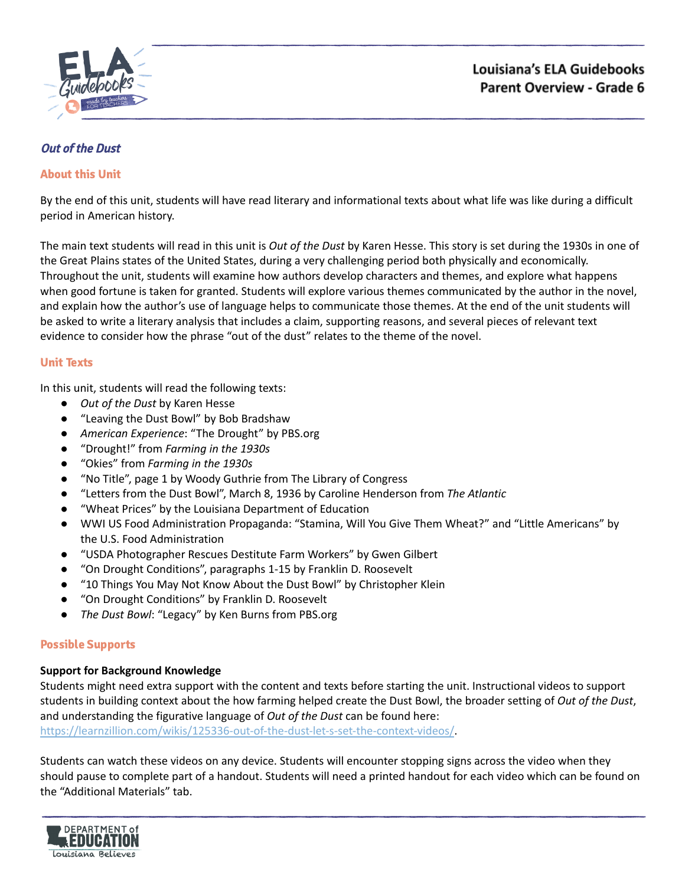

# <span id="page-8-0"></span>Out of the Dust

### About this Unit

By the end of this unit, students will have read literary and informational texts about what life was like during a difficult period in American history.

The main text students will read in this unit is *Out of the Dust* by Karen Hesse. This story is set during the 1930s in one of the Great Plains states of the United States, during a very challenging period both physically and economically. Throughout the unit, students will examine how authors develop characters and themes, and explore what happens when good fortune is taken for granted. Students will explore various themes communicated by the author in the novel, and explain how the author's use of language helps to communicate those themes. At the end of the unit students will be asked to write a literary analysis that includes a claim, supporting reasons, and several pieces of relevant text evidence to consider how the phrase "out of the dust" relates to the theme of the novel.

### Unit Texts

In this unit, students will read the following texts:

- *Out of the Dust* by Karen Hesse
- "Leaving the Dust Bowl" by Bob Bradshaw
- *American Experience*: "The Drought" by PBS.org
- "Drought!" from *Farming in the 1930s*
- "Okies" from *Farming in the 1930s*
- "No Title", page 1 by Woody Guthrie from The Library of Congress
- "Letters from the Dust Bowl", March 8, 1936 by Caroline Henderson from *The Atlantic*
- "Wheat Prices" by the Louisiana Department of Education
- WWI US Food Administration Propaganda: "Stamina, Will You Give Them Wheat?" and "Little Americans" by the U.S. Food Administration
- "USDA Photographer Rescues Destitute Farm Workers" by Gwen Gilbert
- "On Drought Conditions", paragraphs 1-15 by Franklin D. Roosevelt
- "10 Things You May Not Know About the Dust Bowl" by Christopher Klein
- "On Drought Conditions" by Franklin D. Roosevelt
- *The Dust Bowl*: "Legacy" by Ken Burns from PBS.org

#### Possible Supports

#### **Support for Background Knowledge**

Students might need extra support with the content and texts before starting the unit. Instructional videos to support students in building context about the how farming helped create the Dust Bowl, the broader setting of *Out of the Dust*, and understanding the figurative language of *Out of the Dust* can be found here:

<https://learnzillion.com/wikis/125336-out-of-the-dust-let-s-set-the-context-videos/>.

Students can watch these videos on any device. Students will encounter stopping signs across the video when they should pause to complete part of a handout. Students will need a printed handout for each video which can be found on the "Additional Materials" tab.

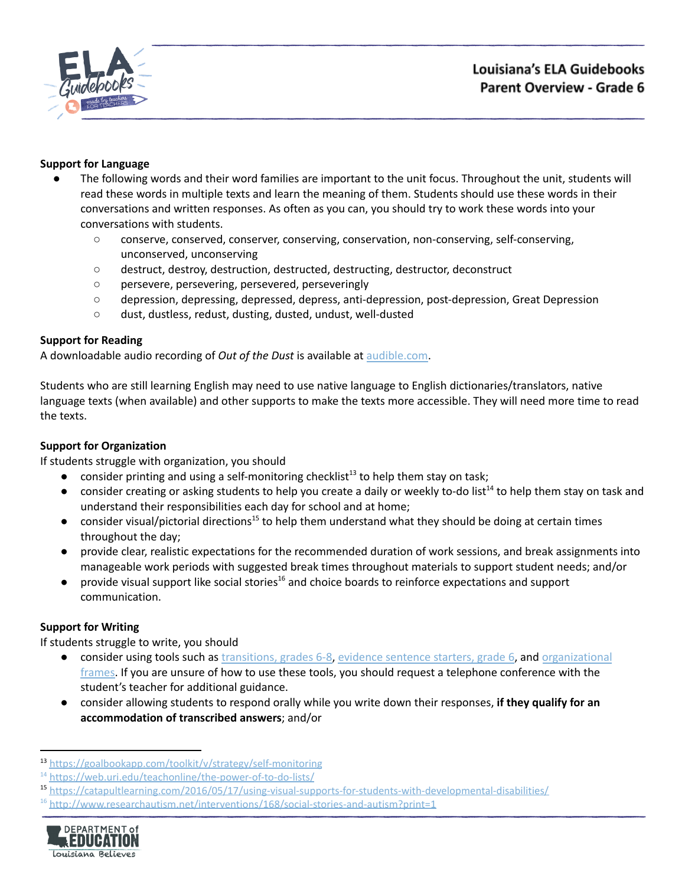

### **Support for Language**

- The following words and their word families are important to the unit focus. Throughout the unit, students will read these words in multiple texts and learn the meaning of them. Students should use these words in their conversations and written responses. As often as you can, you should try to work these words into your conversations with students.
	- conserve, conserved, conserver, conserving, conservation, non-conserving, self-conserving, unconserved, unconserving
	- destruct, destroy, destruction, destructed, destructing, destructor, deconstruct
	- persevere, persevering, persevered, perseveringly
	- depression, depressing, depressed, depress, anti-depression, post-depression, Great Depression
	- dust, dustless, redust, dusting, dusted, undust, well-dusted

### **Support for Reading**

A downloadable audio recording of *Out of the Dust* is available at [audible.com.](https://www.audible.com/)

Students who are still learning English may need to use native language to English dictionaries/translators, native language texts (when available) and other supports to make the texts more accessible. They will need more time to read the texts.

#### **Support for Organization**

If students struggle with organization, you should

- consider printing and using a self-monitoring checklist<sup>13</sup> to help them stay on task;
- $\bullet$  consider creating or asking students to help you create a daily or weekly to-do list<sup>14</sup> to help them stay on task and understand their responsibilities each day for school and at home;
- $\bullet$  consider visual/pictorial directions<sup>15</sup> to help them understand what they should be doing at certain times throughout the day;
- provide clear, realistic expectations for the recommended duration of work sessions, and break assignments into manageable work periods with suggested break times throughout materials to support student needs; and/or
- provide visual support like social stories<sup>16</sup> and choice boards to reinforce expectations and support communication.

#### **Support for Writing**

- consider using tools such as [transitions,](https://learnzillion.com/resources/157893/) grades 6-8, evidence [sentence](https://learnzillion.com/resources/157866/) starters, grade 6, and [organizational](https://learnzillion.com/resources/116858/) [frames.](https://learnzillion.com/resources/116858/) If you are unsure of how to use these tools, you should request a telephone conference with the student's teacher for additional guidance.
- consider allowing students to respond orally while you write down their responses, **if they qualify for an accommodation of transcribed answers**; and/or

<sup>&</sup>lt;sup>16</sup> <http://www.researchautism.net/interventions/168/social-stories-and-autism?print=1>



<sup>13</sup> <https://goalbookapp.com/toolkit/v/strategy/self-monitoring>

<sup>&</sup>lt;sup>14</sup> <https://web.uri.edu/teachonline/the-power-of-to-do-lists/>

<sup>15</sup> <https://catapultlearning.com/2016/05/17/using-visual-supports-for-students-with-developmental-disabilities/>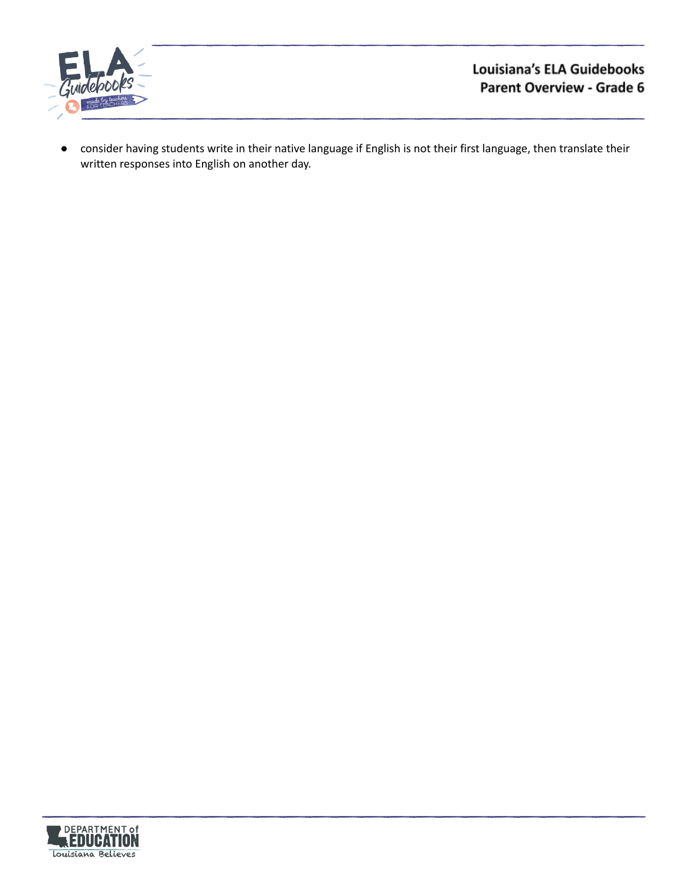

**●** consider having students write in their native language if English is not their first language, then translate their written responses into English on another day.

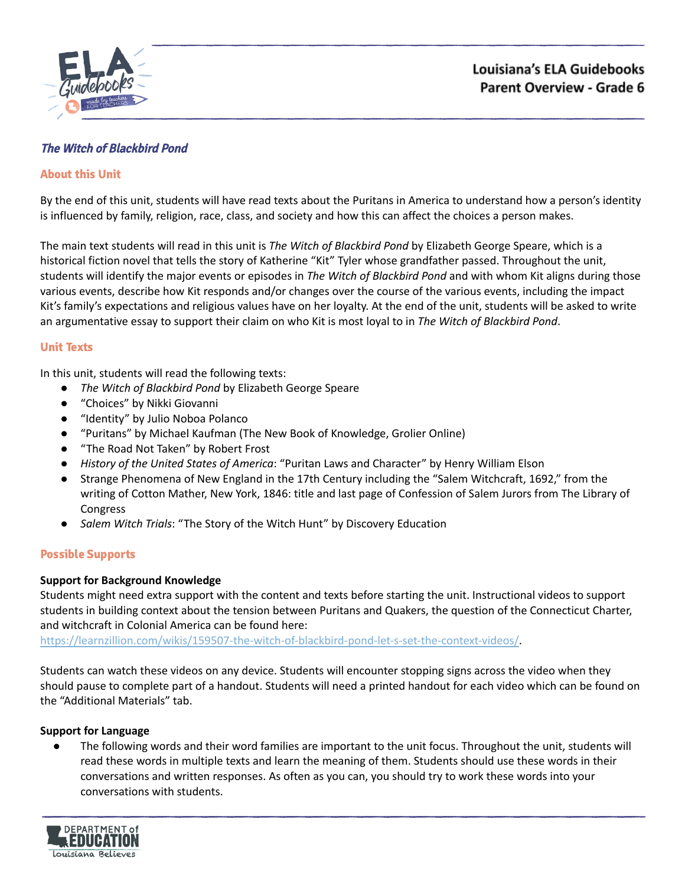

# <span id="page-11-0"></span>The Witch of Blackbird Pond

## About this Unit

By the end of this unit, students will have read texts about the Puritans in America to understand how a person's identity is influenced by family, religion, race, class, and society and how this can affect the choices a person makes.

The main text students will read in this unit is *The Witch of Blackbird Pond* by Elizabeth George Speare, which is a historical fiction novel that tells the story of Katherine "Kit" Tyler whose grandfather passed. Throughout the unit, students will identify the major events or episodes in *The Witch of Blackbird Pond* and with whom Kit aligns during those various events, describe how Kit responds and/or changes over the course of the various events, including the impact Kit's family's expectations and religious values have on her loyalty. At the end of the unit, students will be asked to write an argumentative essay to support their claim on who Kit is most loyal to in *The Witch of Blackbird Pond*.

#### Unit Texts

In this unit, students will read the following texts:

- *The Witch of Blackbird Pond* by Elizabeth George Speare
- "Choices" by Nikki Giovanni
- "Identity" by Julio Noboa Polanco
- "Puritans" by Michael Kaufman (The New Book of Knowledge, Grolier Online)
- "The Road Not Taken" by Robert Frost
- *History of the United States of America*: "Puritan Laws and Character" by Henry William Elson
- Strange Phenomena of New England in the 17th Century including the "Salem Witchcraft, 1692," from the writing of Cotton Mather, New York, 1846: title and last page of Confession of Salem Jurors from The Library of Congress
- *Salem Witch Trials*: "The Story of the Witch Hunt" by Discovery Education

#### Possible Supports

#### **Support for Background Knowledge**

Students might need extra support with the content and texts before starting the unit. Instructional videos to support students in building context about the tension between Puritans and Quakers, the question of the Connecticut Charter, and witchcraft in Colonial America can be found here:

<https://learnzillion.com/wikis/159507-the-witch-of-blackbird-pond-let-s-set-the-context-videos/>.

Students can watch these videos on any device. Students will encounter stopping signs across the video when they should pause to complete part of a handout. Students will need a printed handout for each video which can be found on the "Additional Materials" tab.

#### **Support for Language**

The following words and their word families are important to the unit focus. Throughout the unit, students will read these words in multiple texts and learn the meaning of them. Students should use these words in their conversations and written responses. As often as you can, you should try to work these words into your conversations with students.